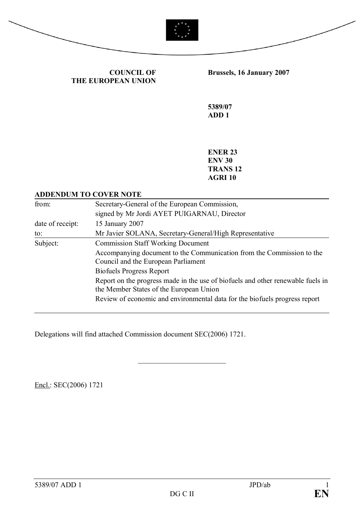



**COUNCIL OF THE EUROPEAN UNION** **Brussels, 16 January 2007** 

**5389/07 ADD 1**

**ENER 23 ENV 30 TRANS 12 AGRI 10**

#### **ADDENDUM TO COVER NOTE**

| from:            | Secretary-General of the European Commission,                                                                              |
|------------------|----------------------------------------------------------------------------------------------------------------------------|
|                  | signed by Mr Jordi AYET PUIGARNAU, Director                                                                                |
| date of receipt: | 15 January 2007                                                                                                            |
| to:              | Mr Javier SOLANA, Secretary-General/High Representative                                                                    |
| Subject:         | <b>Commission Staff Working Document</b>                                                                                   |
|                  | Accompanying document to the Communication from the Commission to the                                                      |
|                  | Council and the European Parliament                                                                                        |
|                  | <b>Biofuels Progress Report</b>                                                                                            |
|                  | Report on the progress made in the use of biofuels and other renewable fuels in<br>the Member States of the European Union |
|                  | Review of economic and environmental data for the biofuels progress report                                                 |

\_\_\_\_\_\_\_\_\_\_\_\_\_\_\_\_\_\_\_\_\_\_\_\_

Delegations will find attached Commission document SEC(2006) 1721.

Encl.: SEC(2006) 1721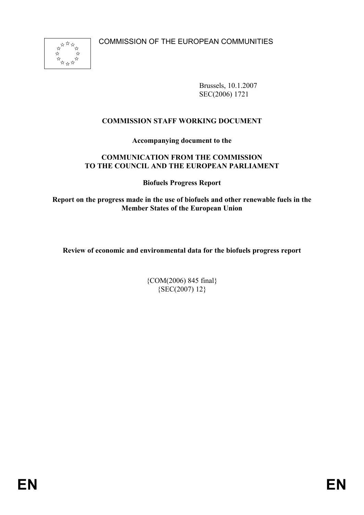

Brussels, 10.1.2007 SEC(2006) 1721

# **COMMISSION STAFF WORKING DOCUMENT**

**Accompanying document to the**

#### **COMMUNICATION FROM THE COMMISSION TO THE COUNCIL AND THE EUROPEAN PARLIAMENT**

**Biofuels Progress Report**

**Report on the progress made in the use of biofuels and other renewable fuels in the Member States of the European Union**

**Review of economic and environmental data for the biofuels progress report**

{COM(2006) 845 final} {SEC(2007) 12}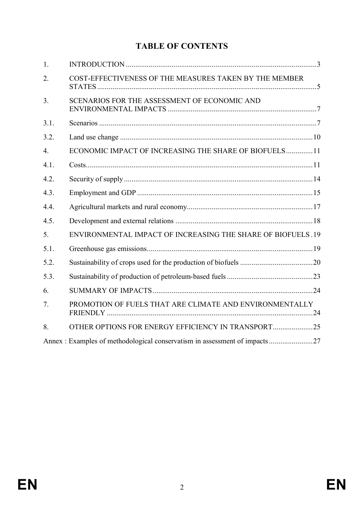# **TABLE OF CONTENTS**

| 1.               |                                                              |  |
|------------------|--------------------------------------------------------------|--|
| 2.               | COST-EFFECTIVENESS OF THE MEASURES TAKEN BY THE MEMBER       |  |
| 3 <sub>1</sub>   | SCENARIOS FOR THE ASSESSMENT OF ECONOMIC AND                 |  |
| 3.1.             |                                                              |  |
| 3.2.             |                                                              |  |
| $\overline{4}$ . | ECONOMIC IMPACT OF INCREASING THE SHARE OF BIOFUELS11        |  |
| 4.1.             |                                                              |  |
| 4.2.             |                                                              |  |
| 4.3.             |                                                              |  |
| 4.4.             |                                                              |  |
| 4.5.             |                                                              |  |
| 5.               | ENVIRONMENTAL IMPACT OF INCREASING THE SHARE OF BIOFUELS .19 |  |
| 5.1.             |                                                              |  |
| 5.2.             |                                                              |  |
| 5.3.             |                                                              |  |
| 6.               |                                                              |  |
| 7.               | PROMOTION OF FUELS THAT ARE CLIMATE AND ENVIRONMENTALLY      |  |
| 8.               |                                                              |  |
|                  |                                                              |  |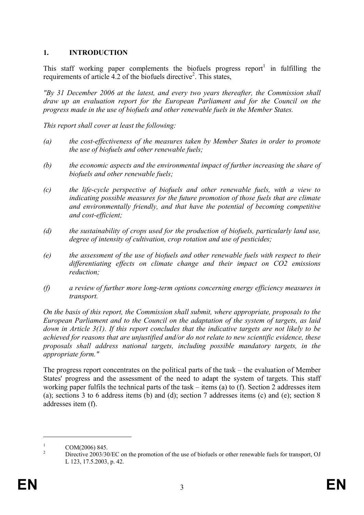## **1. INTRODUCTION**

This staff working paper complements the biofuels progress report<sup>1</sup> in fulfilling the requirements of article  $4.2$  of the biofuels directive<sup>2</sup>. This states,

*"By 31 December 2006 at the latest, and every two years thereafter, the Commission shall draw up an evaluation report for the European Parliament and for the Council on the progress made in the use of biofuels and other renewable fuels in the Member States.*

*This report shall cover at least the following:*

- *(a) the cost-effectiveness of the measures taken by Member States in order to promote the use of biofuels and other renewable fuels;*
- *(b) the economic aspects and the environmental impact of further increasing the share of biofuels and other renewable fuels;*
- *(c) the life-cycle perspective of biofuels and other renewable fuels, with a view to indicating possible measures for the future promotion of those fuels that are climate and environmentally friendly, and that have the potential of becoming competitive and cost-efficient;*
- *(d) the sustainability of crops used for the production of biofuels, particularly land use, degree of intensity of cultivation, crop rotation and use of pesticides;*
- *(e) the assessment of the use of biofuels and other renewable fuels with respect to their differentiating effects on climate change and their impact on CO2 emissions reduction;*
- *(f) a review of further more long-term options concerning energy efficiency measures in transport.*

*On the basis of this report, the Commission shall submit, where appropriate, proposals to the European Parliament and to the Council on the adaptation of the system of targets, as laid down in Article 3(1). If this report concludes that the indicative targets are not likely to be achieved for reasons that are unjustified and/or do not relate to new scientific evidence, these proposals shall address national targets, including possible mandatory targets, in the appropriate form."*

The progress report concentrates on the political parts of the task – the evaluation of Member States' progress and the assessment of the need to adapt the system of targets. This staff working paper fulfils the technical parts of the task – items (a) to (f). Section 2 addresses item (a); sections 3 to 6 address items (b) and (d); section 7 addresses items (c) and (e); section 8 addresses item (f).

 $\frac{1}{2}$  COM(2006) 845.

<sup>2</sup> Directive 2003/30/EC on the promotion of the use of biofuels or other renewable fuels for transport, OJ L 123, 17.5.2003, p. 42.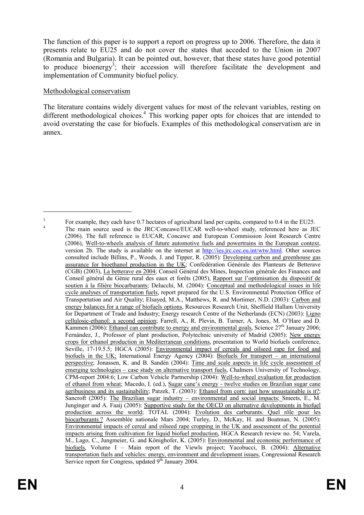The function of this paper is to support a report on progress up to 2006. Therefore, the data it presents relate to EU25 and do not cover the states that acceded to the Union in 2007 (Romania and Bulgaria). It can be pointed out, however, that these states have good potential to produce bioenergy<sup>3</sup>; their accession will therefore facilitate the development and implementation of Community biofuel policy.

#### Methodological conservatism

The literature contains widely divergent values for most of the relevant variables, resting on different methodological choices.<sup>4</sup> This working paper opts for choices that are intended to avoid overstating the case for biofuels. Examples of this methodological conservatism are in annex.

<sup>3</sup>

For example, they each have 0.7 hectares of agricultural land per capita, compared to 0.4 in the EU25. <sup>4</sup> The main source used is the JRC/Concawe/EUCAR well-to-wheel study, referenced here as JEC (2006). The full reference is EUCAR, Concawe and European Commission Joint Research Centre (2006), Well-to-wheels analysis of future automotive fuels and powertrains in the European context, version 2b. The study is available on the internet at http://ies.jrc.cec.eu.int/wtw.html. Other sources consulted include Billins, P., Woods, J. and Tipper, R. (2005): Developing carbon and greenhouse gas assurance for bioethanol production in the UK; Confédération Générale des Planteurs de Betterave (CGB) (2003), La betterave en 2004; Conseil Général des Mines, Inspection générale des Finances and Conseil général du Génie rural des eaux et forêts (2005), Rapport sur l'optimisation du dispositif de soutien à la filière biocarburants; Delucchi, M. (2004): Conceptual and methodological issues in life cycle analyses of transportation fuels, report prepared for the U.S. Environmental Protection Office of Transportation and Air Quality; Elsayed, M.A., Matthews, R. and Mortimer, N.D. (2003): Carbon and energy balances for a range of biofuels options, Resources Research Unit, Sheffield Hallam University for Department of Trade and Industry; Energy research Centre of the Netherlands (ECN) (2003): Ligno cellulosic-ethanol: a second opinion; Farrell, A., R. Plevin, B. Turner, A. Jones, M. O'Hare and D. Kammen (2006): Ethanol can contribute to energy and environmental goals, Science  $27<sup>th</sup>$  January 2006; Fernández, J., Professor of plant production, Polytechnic university of Madrid (2005): New energy crops for ethanol production in Mediterranean conditions, presentation to World biofuels conference, Seville, 17-19.5.5; HGCA (2005): Environmental impact of cereals and oilseed rape for food and biofuels in the UK; International Energy Agency (2004): Biofuels for transport – an international perspective; Jonassen, K. and B. Sandén (2004): Time and scale aspects in life cycle assessment of emerging technologies – case study on alternative transport fuels, Chalmers University of Technology, CPM-report 2004:6; Low Carbon Vehicle Partnership (2004): Well-to-wheel evaluation for production of ethanol from wheat; Macedo, I. (ed.), Sugar cane's energy - twelve studies on Brazilian sugar cane agribusiness and its sustainability; Patzek, T. (2003): Ethanol from corn: just how unsustainable is it?; Sancroft (2005): The Brazilian sugar industry – environmental and social impacts; Smeets, E., M. Junginger and A. Faaij (2005): Supportive study for the OECD on alternative developments in biofuel production across the world; TOTAL (2004): Evolution des carburants. Quel rôle pour les biocarburants ? Assemblée nationale Mars 2004; Turley, D., McKay, H. and Boatman, N. (2005): Environmental impacts of cereal and oilseed rape cropping in the UK and assessment of the potential impacts arising from cultivation for liquid biofuel production, HGCA Research review no. 54; Varela, M., Lago, C., Jungmeier, G. and Könighofer, K. (2005): Environmental and economic performance of biofuels, Volume I – Main report of the Viewls project; Yacobucci, B. (2004): Alternative transportation fuels and vehicles: energy, environment and development issues, Congressional Research Service report for Congress, updated  $9<sup>th</sup>$  January 2004.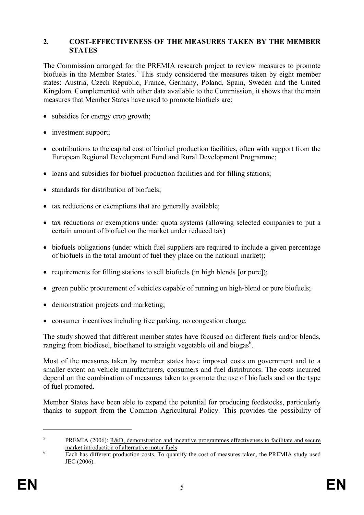#### **2. COST-EFFECTIVENESS OF THE MEASURES TAKEN BY THE MEMBER STATES**

The Commission arranged for the PREMIA research project to review measures to promote biofuels in the Member States.<sup>5</sup> This study considered the measures taken by eight member states: Austria, Czech Republic, France, Germany, Poland, Spain, Sweden and the United Kingdom. Complemented with other data available to the Commission, it shows that the main measures that Member States have used to promote biofuels are:

- subsidies for energy crop growth;
- investment support;
- contributions to the capital cost of biofuel production facilities, often with support from the European Regional Development Fund and Rural Development Programme;
- loans and subsidies for biofuel production facilities and for filling stations;
- standards for distribution of biofuels;
- tax reductions or exemptions that are generally available;
- · tax reductions or exemptions under quota systems (allowing selected companies to put a certain amount of biofuel on the market under reduced tax)
- biofuels obligations (under which fuel suppliers are required to include a given percentage of biofuels in the total amount of fuel they place on the national market);
- requirements for filling stations to sell biofuels (in high blends [or pure]);
- green public procurement of vehicles capable of running on high-blend or pure biofuels;
- · demonstration projects and marketing;
- consumer incentives including free parking, no congestion charge.

The study showed that different member states have focused on different fuels and/or blends, ranging from biodiesel, bioethanol to straight vegetable oil and biogas<sup>6</sup>.

Most of the measures taken by member states have imposed costs on government and to a smaller extent on vehicle manufacturers, consumers and fuel distributors. The costs incurred depend on the combination of measures taken to promote the use of biofuels and on the type of fuel promoted.

Member States have been able to expand the potential for producing feedstocks, particularly thanks to support from the Common Agricultural Policy. This provides the possibility of

<sup>5</sup> PREMIA (2006): R&D, demonstration and incentive programmes effectiveness to facilitate and secure market introduction of alternative motor fuels

<sup>&</sup>lt;sup>6</sup> Each has different production costs. To quantify the cost of measures taken, the PREMIA study used JEC (2006).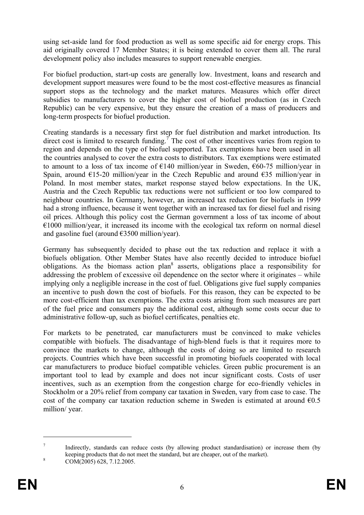using set-aside land for food production as well as some specific aid for energy crops. This aid originally covered 17 Member States; it is being extended to cover them all. The rural development policy also includes measures to support renewable energies.

For biofuel production, start-up costs are generally low. Investment, loans and research and development support measures were found to be the most cost-effective measures as financial support stops as the technology and the market matures. Measures which offer direct subsidies to manufacturers to cover the higher cost of biofuel production (as in Czech Republic) can be very expensive, but they ensure the creation of a mass of producers and long-term prospects for biofuel production.

Creating standards is a necessary first step for fuel distribution and market introduction. Its direct cost is limited to research funding.<sup> $\tau$ </sup> The cost of other incentives varies from region to region and depends on the type of biofuel supported. Tax exemptions have been used in all the countries analysed to cover the extra costs to distributors. Tax exemptions were estimated to amount to a loss of tax income of  $E140$  million/year in Sweden,  $E60-75$  million/year in Spain, around  $\epsilon$ 15-20 million/year in the Czech Republic and around  $\epsilon$ 35 million/year in Poland. In most member states, market response stayed below expectations. In the UK, Austria and the Czech Republic tax reductions were not sufficient or too low compared to neighbour countries. In Germany, however, an increased tax reduction for biofuels in 1999 had a strong influence, because it went together with an increased tax for diesel fuel and rising oil prices. Although this policy cost the German government a loss of tax income of about  $€1000$  million/year, it increased its income with the ecological tax reform on normal diesel and gasoline fuel (around  $E$ 3500 million/year).

Germany has subsequently decided to phase out the tax reduction and replace it with a biofuels obligation. Other Member States have also recently decided to introduce biofuel obligations. As the biomass action plan<sup>8</sup> asserts, obligations place a responsibility for addressing the problem of excessive oil dependence on the sector where it originates – while implying only a negligible increase in the cost of fuel. Obligations give fuel supply companies an incentive to push down the cost of biofuels. For this reason, they can be expected to be more cost-efficient than tax exemptions. The extra costs arising from such measures are part of the fuel price and consumers pay the additional cost, although some costs occur due to administrative follow-up, such as biofuel certificates, penalties etc.

For markets to be penetrated, car manufacturers must be convinced to make vehicles compatible with biofuels. The disadvantage of high-blend fuels is that it requires more to convince the markets to change, although the costs of doing so are limited to research projects. Countries which have been successful in promoting biofuels cooperated with local car manufacturers to produce biofuel compatible vehicles. Green public procurement is an important tool to lead by example and does not incur significant costs. Costs of user incentives, such as an exemption from the congestion charge for eco-friendly vehicles in Stockholm or a 20% relief from company car taxation in Sweden, vary from case to case. The cost of the company car taxation reduction scheme in Sweden is estimated at around  $\epsilon$ 0.5 million/ year.

<sup>7</sup> Indirectly, standards can reduce costs (by allowing product standardisation) or increase them (by keeping products that do not meet the standard, but are cheaper, out of the market).

 $\frac{8}{\text{COM}(2005)}$  628, 7.12.2005.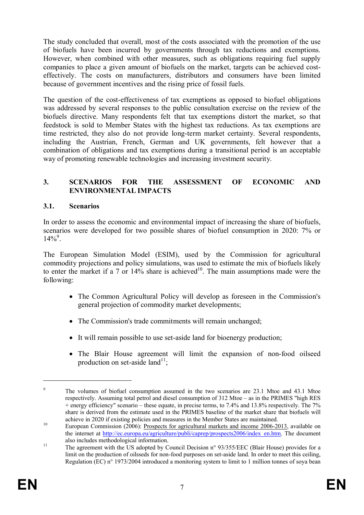The study concluded that overall, most of the costs associated with the promotion of the use of biofuels have been incurred by governments through tax reductions and exemptions. However, when combined with other measures, such as obligations requiring fuel supply companies to place a given amount of biofuels on the market, targets can be achieved costeffectively. The costs on manufacturers, distributors and consumers have been limited because of government incentives and the rising price of fossil fuels.

The question of the cost-effectiveness of tax exemptions as opposed to biofuel obligations was addressed by several responses to the public consultation exercise on the review of the biofuels directive. Many respondents felt that tax exemptions distort the market, so that feedstock is sold to Member States with the highest tax reductions. As tax exemptions are time restricted, they also do not provide long-term market certainty. Several respondents, including the Austrian, French, German and UK governments, felt however that a combination of obligations and tax exemptions during a transitional period is an acceptable way of promoting renewable technologies and increasing investment security.

#### **3. SCENARIOS FOR THE ASSESSMENT OF ECONOMIC AND ENVIRONMENTAL IMPACTS**

#### **3.1. Scenarios**

In order to assess the economic and environmental impact of increasing the share of biofuels, scenarios were developed for two possible shares of biofuel consumption in 2020: 7% or  $14\%^{9}$ .

The European Simulation Model (ESIM), used by the Commission for agricultural commodity projections and policy simulations, was used to estimate the mix of biofuels likely to enter the market if a 7 or  $14\%$  share is achieved<sup>10</sup>. The main assumptions made were the following:

- · The Common Agricultural Policy will develop as foreseen in the Commission's general projection of commodity market developments;
- The Commission's trade commitments will remain unchanged;
- · It will remain possible to use set-aside land for bioenergy production;
- The Blair House agreement will limit the expansion of non-food oilseed production on set-aside land<sup>11</sup>;

<sup>&</sup>lt;sup>9</sup> The volumes of biofuel consumption assumed in the two scenarios are 23.1 Mtoe and 43.1 Mtoe respectively. Assuming total petrol and diesel consumption of 312 Mtoe – as in the PRIMES "high RES + energy efficiency" scenario – these equate, in precise terms, to 7.4% and 13.8% respectively. The 7% share is derived from the estimate used in the PRIMES baseline of the market share that biofuels will achieve in 2020 if existing policies and measures in the Member States are maintained.

<sup>&</sup>lt;sup>10</sup> European Commission (2006): Prospects for agricultural markets and income 2006-2013, available on the internet at http://ec.europa.eu/agriculture/publi/caprep/prospects2006/index\_en.htm. The document also includes methodological information.

<sup>&</sup>lt;sup>11</sup> The agreement with the US adopted by Council Decision n° 93/355/EEC (Blair House) provides for a limit on the production of oilsseds for non-food purposes on set-aside land. In order to meet this ceiling, Regulation (EC) n° 1973/2004 introduced a monitoring system to limit to 1 million tonnes of soya bean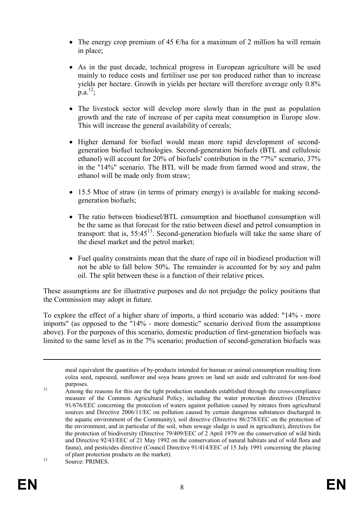- The energy crop premium of 45  $\epsilon$ /ha for a maximum of 2 million ha will remain in place;
- · As in the past decade, technical progress in European agriculture will be used mainly to reduce costs and fertiliser use per ton produced rather than to increase yields per hectare. Growth in yields per hectare will therefore average only 0.8%  $p.a.<sup>12</sup>$ ;
- The livestock sector will develop more slowly than in the past as population growth and the rate of increase of per capita meat consumption in Europe slow. This will increase the general availability of cereals;
- · Higher demand for biofuel would mean more rapid development of secondgeneration biofuel technologies. Second-generation biofuels (BTL and cellulosic ethanol) will account for 20% of biofuels' contribution in the "7%" scenario, 37% in the "14%" scenario. The BTL will be made from farmed wood and straw, the ethanol will be made only from straw;
- 15.5 Mtoe of straw (in terms of primary energy) is available for making secondgeneration biofuels;
- The ratio between biodiesel/BTL consumption and bioethanol consumption will be the same as that forecast for the ratio between diesel and petrol consumption in transport: that is,  $55:45^{13}$ . Second-generation biofuels will take the same share of the diesel market and the petrol market;
- Fuel quality constraints mean that the share of rape oil in biodiesel production will not be able to fall below 50%. The remainder is accounted for by soy and palm oil. The split between these is a function of their relative prices.

These assumptions are for illustrative purposes and do not prejudge the policy positions that the Commission may adopt in future.

To explore the effect of a higher share of imports, a third scenario was added: "14% - more imports" (as opposed to the "14% - more domestic" scenario derived from the assumptions above). For the purposes of this scenario, domestic production of first-generation biofuels was limited to the same level as in the 7% scenario; production of second-generation biofuels was

<sup>12</sup> Among the reasons for this are the tight production standards established through the cross-compliance measure of the Common Agricultural Policy, including the water protection directives (Directive 91/676/EEC concerning the protection of waters against pollution caused by nitrates from agricultural sources and Directive 2006/11/EC on pollution caused by certain dangerous substances discharged in the aquatic environment of the Community), soil directive (Directive 86/278/EEC on the protection of the environment, and in particular of the soil, when sewage sludge is used in agriculture), directives for the protection of biodiversity (Directive 79/409/EEC of 2 April 1979 on the conservation of wild birds and Directive 92/43/EEC of 21 May 1992 on the conservation of natural habitats and of wild flora and fauna), and pesticides directive (Council Directive 91/414/EEC of 15 July 1991 concerning the placing of plant protection products on the market).

meal equivalent the quantities of by-products intended for human or animal consumption resulting from colza seed, rapeseed, sunflower and soya beans grown on land set aside and cultivated for non-food purposes.

<sup>&</sup>lt;sup>13</sup> Source: PRIMES.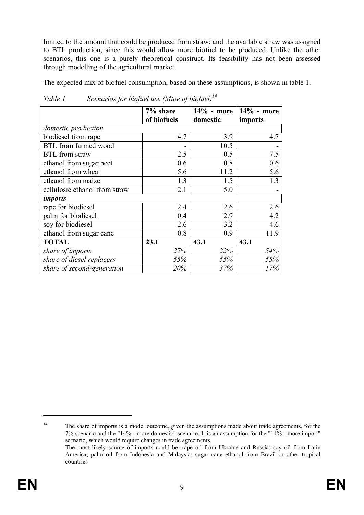limited to the amount that could be produced from straw; and the available straw was assigned to BTL production, since this would allow more biofuel to be produced. Unlike the other scenarios, this one is a purely theoretical construct. Its feasibility has not been assessed through modelling of the agricultural market.

The expected mix of biofuel consumption, based on these assumptions, is shown in table 1.

|                               | 7% share    | $14\%$ - more | $14\%$ - more |
|-------------------------------|-------------|---------------|---------------|
|                               | of biofuels | domestic      | imports       |
| domestic production           |             |               |               |
| biodiesel from rape           | 4.7         | 3.9           | 4.7           |
| BTL from farmed wood          |             | 10.5          |               |
| <b>BTL</b> from straw         | 2.5         | 0.5           | 7.5           |
| ethanol from sugar beet       | 0.6         | 0.8           | 0.6           |
| ethanol from wheat            | 5.6         | 11.2          | 5.6           |
| ethanol from maize            | 1.3         | 1.5           | 1.3           |
| cellulosic ethanol from straw | 2.1         | 5.0           |               |
| <i>imports</i>                |             |               |               |
| rape for biodiesel            | 2.4         | 2.6           | 2.6           |
| palm for biodiesel            | 0.4         | 2.9           | 4.2           |
| soy for biodiesel             | 2.6         | 3.2           | 4.6           |
| ethanol from sugar cane       | 0.8         | 0.9           | 11.9          |
| <b>TOTAL</b>                  | 23.1        | 43.1          | 43.1          |
| share of imports              | 27%         | 22%           | 54%           |
| share of diesel replacers     | 55%         | 55%           | 55%           |
| share of second-generation    | 20%         | 37%           | 17%           |

*Table 1 Scenarios for biofuel use (Mtoe of biofuel)<sup>14</sup>*

<sup>&</sup>lt;sup>14</sup> The share of imports is a model outcome, given the assumptions made about trade agreements, for the 7% scenario and the "14% - more domestic" scenario. It is an assumption for the "14% - more import" scenario, which would require changes in trade agreements. The most likely source of imports could be: rape oil from Ukraine and Russia; soy oil from Latin America; palm oil from Indonesia and Malaysia; sugar cane ethanol from Brazil or other tropical countries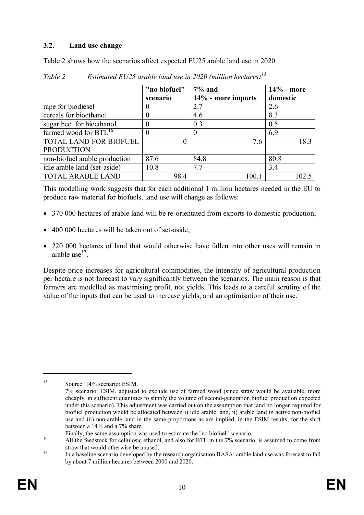# **3.2. Land use change**

Table 2 shows how the scenarios affect expected EU25 arable land use in 2020.

|                                   | "no biofuel" | 7% and             | $14\%$ - more |
|-----------------------------------|--------------|--------------------|---------------|
|                                   | scenario     | 14% - more imports | domestic      |
| rape for biodiesel                |              | 2.7                | 2.6           |
| cereals for bioethanol            |              | 4.6                | 8.3           |
| sugar beet for bioethanol         |              | 0.3                | 0.5           |
| farmed wood for BTL <sup>16</sup> |              | $\theta$           | 6.9           |
| TOTAL LAND FOR BIOFUEL            |              | 7.6                | 18.3          |
| <b>PRODUCTION</b>                 |              |                    |               |
| non-biofuel arable production     | 87.6         | 84.8               | 80.8          |
| idle arable land (set-aside)      | 10.8         | 77                 | 3.4           |
| <b>TOTAL ARABLE LAND</b>          | 98.4         | 100.1              |               |

*Table 2 Estimated EU25 arable land use in 2020 (million hectares)<sup>15</sup>*

This modelling work suggests that for each additional 1 million hectares needed in the EU to produce raw material for biofuels, land use will change as follows:

- · 370 000 hectares of arable land will be re-orientated from exports to domestic production;
- 400 000 hectares will be taken out of set-aside;
- 220 000 hectares of land that would otherwise have fallen into other uses will remain in arable use $^{17}$ .

Despite price increases for agricultural commodities, the intensity of agricultural production per hectare is not forecast to vary significantly between the scenarios. The main reason is that farmers are modelled as maximising profit, not yields. This leads to a careful scrutiny of the value of the inputs that can be used to increase yields, and an optimisation of their use.

<sup>&</sup>lt;sup>15</sup> Source: 14% scenario: ESIM.

<sup>7%</sup> scenario: ESIM, adjusted to exclude use of farmed wood (since straw would be available, more cheaply, in sufficient quantities to supply the volume of second-generation biofuel production expected under this scenario). This adjustment was carried out on the assumption that land no longer required for biofuel production would be allocated between i) idle arable land, ii) arable land in active non-biofuel use and iii) non-arable land in the same proportions as are implied, in the ESIM results, for the shift between a 14% and a 7% share.

Finally, the same assumption was used to estimate the "no biofuel" scenario.

<sup>&</sup>lt;sup>16</sup> All the feedstock for cellulosic ethanol, and also for BTL in the 7% scenario, is assumed to come from straw that would otherwise be unused.

<sup>&</sup>lt;sup>17</sup> In a baseline scenario developed by the research organisation IIASA, arable land use was forecast to fall by about 7 million hectares between 2000 and 2020.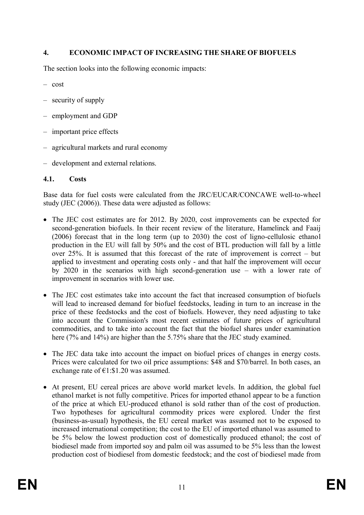## **4. ECONOMIC IMPACT OF INCREASING THE SHARE OF BIOFUELS**

The section looks into the following economic impacts:

- cost
- security of supply
- employment and GDP
- important price effects
- agricultural markets and rural economy
- development and external relations.

## **4.1. Costs**

Base data for fuel costs were calculated from the JRC/EUCAR/CONCAWE well-to-wheel study (JEC (2006)). These data were adjusted as follows:

- · The JEC cost estimates are for 2012. By 2020, cost improvements can be expected for second-generation biofuels. In their recent review of the literature, Hamelinck and Faaij (2006) forecast that in the long term (up to 2030) the cost of ligno-cellulosic ethanol production in the EU will fall by 50% and the cost of BTL production will fall by a little over 25%. It is assumed that this forecast of the rate of improvement is correct – but applied to investment and operating costs only - and that half the improvement will occur by 2020 in the scenarios with high second-generation use – with a lower rate of improvement in scenarios with lower use.
- · The JEC cost estimates take into account the fact that increased consumption of biofuels will lead to increased demand for biofuel feedstocks, leading in turn to an increase in the price of these feedstocks and the cost of biofuels. However, they need adjusting to take into account the Commission's most recent estimates of future prices of agricultural commodities, and to take into account the fact that the biofuel shares under examination here (7% and 14%) are higher than the 5.75% share that the JEC study examined.
- · The JEC data take into account the impact on biofuel prices of changes in energy costs. Prices were calculated for two oil price assumptions: \$48 and \$70/barrel. In both cases, an exchange rate of  $E1:1.20$  was assumed.
- · At present, EU cereal prices are above world market levels. In addition, the global fuel ethanol market is not fully competitive. Prices for imported ethanol appear to be a function of the price at which EU-produced ethanol is sold rather than of the cost of production. Two hypotheses for agricultural commodity prices were explored. Under the first (business-as-usual) hypothesis, the EU cereal market was assumed not to be exposed to increased international competition; the cost to the EU of imported ethanol was assumed to be 5% below the lowest production cost of domestically produced ethanol; the cost of biodiesel made from imported soy and palm oil was assumed to be 5% less than the lowest production cost of biodiesel from domestic feedstock; and the cost of biodiesel made from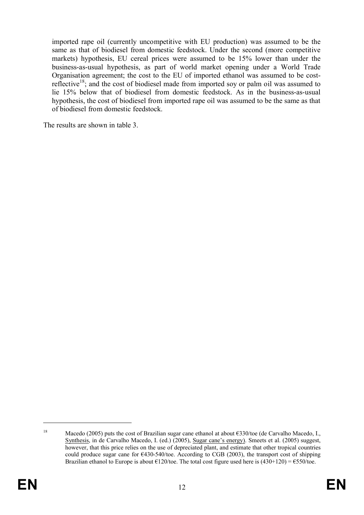imported rape oil (currently uncompetitive with EU production) was assumed to be the same as that of biodiesel from domestic feedstock. Under the second (more competitive markets) hypothesis, EU cereal prices were assumed to be 15% lower than under the business-as-usual hypothesis, as part of world market opening under a World Trade Organisation agreement; the cost to the EU of imported ethanol was assumed to be costreflective<sup>18</sup>; and the cost of biodiesel made from imported soy or palm oil was assumed to lie 15% below that of biodiesel from domestic feedstock. As in the business-as-usual hypothesis, the cost of biodiesel from imported rape oil was assumed to be the same as that of biodiesel from domestic feedstock.

The results are shown in table 3.

<sup>18</sup> Macedo (2005) puts the cost of Brazilian sugar cane ethanol at about  $\epsilon$ 330/toe (de Carvalho Macedo, I., Synthesis, in de Carvalho Macedo, I. (ed.) (2005), Sugar cane's energy). Smeets et al. (2005) suggest, however, that this price relies on the use of depreciated plant, and estimate that other tropical countries could produce sugar cane for  $\epsilon$ 430-540/toe. According to CGB (2003), the transport cost of shipping Brazilian ethanol to Europe is about  $\epsilon$ 120/toe. The total cost figure used here is (430+120) =  $\epsilon$ 550/toe.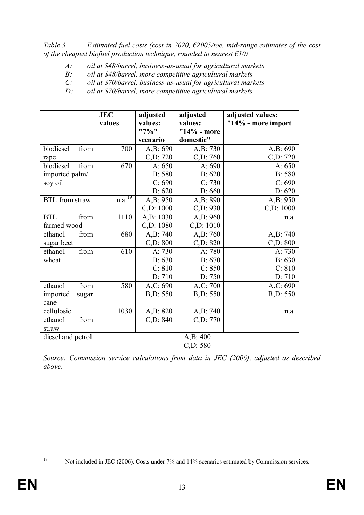*Table 3 Estimated fuel costs (cost in 2020, €2005/toe, mid-range estimates of the cost of the cheapest biofuel production technique, rounded to nearest €10)*

- *A: oil at \$48/barrel, business-as-usual for agricultural markets*
- *B: oil at \$48/barrel, more competitive agricultural markets*
- *C: oil at \$70/barrel, business-as-usual for agricultural markets*
- *D: oil at \$70/barrel, more competitive agricultural markets*

|                       |      | <b>JEC</b>         | adjusted  | adjusted    | adjusted values:   |
|-----------------------|------|--------------------|-----------|-------------|--------------------|
|                       |      | values             | values:   | values:     | "14% - more import |
|                       |      |                    | "7%"      | "14% - more |                    |
|                       |      |                    | scenario  | domestic"   |                    |
| biodiesel<br>from     |      | 700                | A,B: 690  | A,B: 730    | A,B: 690           |
| rape                  |      |                    | C,D: 720  | C,D: 760    | C,D: 720           |
| biodiesel<br>from     |      | 670                | A: 650    | A:690       | A: 650             |
| imported palm/        |      |                    | B: 580    | B: 620      | B: 580             |
| soy oil               |      |                    | C: 690    | C: 730      | C: 690             |
|                       |      |                    | D: 620    | D: 660      | D: 620             |
| <b>BTL</b> from straw |      | n.a. <sup>19</sup> | A,B: 950  | A,B: 890    | A,B: 950           |
|                       |      |                    | C,D:1000  | C,D: 930    | C,D:1000           |
| <b>BTL</b><br>from    |      | 1110               | A,B: 1030 | A,B:960     | n.a.               |
| farmed wood           |      |                    | C,D: 1080 | C,D: 1010   |                    |
| ethanol               | from | 680                | A,B: 740  | A,B: 760    | A,B: 740           |
| sugar beet            |      |                    | C.D. 800  | C,D: 820    | C,D: 800           |
| from<br>ethanol       |      | 610                | A: 730    | A: 780      | A: 730             |
| wheat                 |      |                    | B: 630    | B: 670      | B: 630             |
|                       |      |                    | C: 810    | C: 850      | C: 810             |
|                       |      |                    | D: 710    | D: 750      | D: 710             |
| ethanol<br>from       |      | 580                | A, C: 690 | A,C: 700    | A,C: 690           |
| imported<br>sugar     |      |                    | B,D: 550  | B,D: 550    | B,D: 550           |
| cane                  |      |                    |           |             |                    |
| cellulosic            |      | 1030               | A,B: 820  | A,B: 740    | n.a.               |
| ethanol<br>from       |      |                    | C,D: 840  | C,D: 770    |                    |
| straw                 |      |                    |           |             |                    |
| diesel and petrol     |      |                    |           | A,B:400     |                    |
|                       |      |                    |           | C,D: 580    |                    |

*Source: Commission service calculations from data in JEC (2006), adjusted as described above.*

<sup>&</sup>lt;sup>19</sup> Not included in JEC (2006). Costs under 7% and 14% scenarios estimated by Commission services.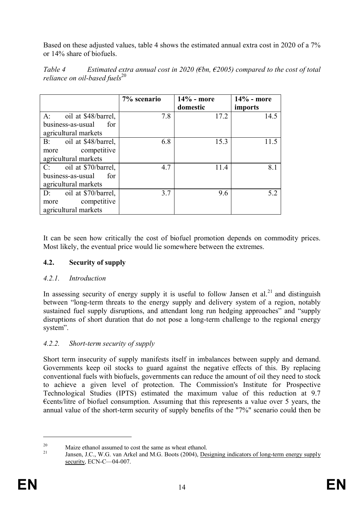Based on these adjusted values, table 4 shows the estimated annual extra cost in 2020 of a 7% or 14% share of biofuels.

| Table 4 | Estimated extra annual cost in 2020 ( $\epsilon$ bn, $\epsilon$ 2005) compared to the cost of total |  |  |  |  |
|---------|-----------------------------------------------------------------------------------------------------|--|--|--|--|
|         | reliance on oil-based fuels <sup>20</sup>                                                           |  |  |  |  |

|                           | 7% scenario | $14\%$ - more<br>domestic | $14\%$ - more<br>imports |
|---------------------------|-------------|---------------------------|--------------------------|
| A: oil at \$48/barrel,    | 7.8         | 17.2                      | 14.5                     |
| business-as-usual<br>for  |             |                           |                          |
| agricultural markets      |             |                           |                          |
| B: oil at \$48/barrel,    | 6.8         | 15.3                      | 11.5                     |
| competitive<br>more       |             |                           |                          |
| agricultural markets      |             |                           |                          |
| $C$ : oil at \$70/barrel, | 4.7         | 11.4                      | 8.1                      |
| business-as-usual<br>for  |             |                           |                          |
| agricultural markets      |             |                           |                          |
| oil at \$70/barrel,<br>D: | 3.7         | 9.6                       | 5.2                      |
| competitive<br>more       |             |                           |                          |
| agricultural markets      |             |                           |                          |

It can be seen how critically the cost of biofuel promotion depends on commodity prices. Most likely, the eventual price would lie somewhere between the extremes.

## **4.2. Security of supply**

## *4.2.1. Introduction*

In assessing security of energy supply it is useful to follow Jansen et al.<sup>21</sup> and distinguish between "long-term threats to the energy supply and delivery system of a region, notably sustained fuel supply disruptions, and attendant long run hedging approaches" and "supply disruptions of short duration that do not pose a long-term challenge to the regional energy system".

# *4.2.2. Short-term security of supply*

Short term insecurity of supply manifests itself in imbalances between supply and demand. Governments keep oil stocks to guard against the negative effects of this. By replacing conventional fuels with biofuels, governments can reduce the amount of oil they need to stock to achieve a given level of protection. The Commission's Institute for Prospective Technological Studies (IPTS) estimated the maximum value of this reduction at 9.7 €cents/litre of biofuel consumption. Assuming that this represents a value over 5 years, the annual value of the short-term security of supply benefits of the "7%" scenario could then be

<sup>&</sup>lt;sup>20</sup> Maize ethanol assumed to cost the same as wheat ethanol.

Jansen, J.C., W.G. van Arkel and M.G. Boots (2004), Designing indicators of long-term energy supply security, ECN-C-04-007.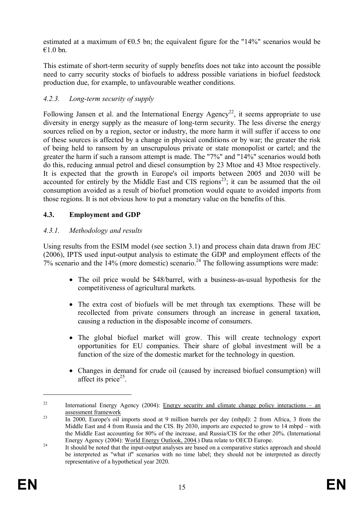estimated at a maximum of  $\epsilon$ 0.5 bn; the equivalent figure for the "14%" scenarios would be  $€1.0 \text{ bn}$ .

This estimate of short-term security of supply benefits does not take into account the possible need to carry security stocks of biofuels to address possible variations in biofuel feedstock production due, for example, to unfavourable weather conditions.

# *4.2.3. Long-term security of supply*

Following Jansen et al. and the International Energy Agency<sup>22</sup>, it seems appropriate to use diversity in energy supply as the measure of long-term security. The less diverse the energy sources relied on by a region, sector or industry, the more harm it will suffer if access to one of these sources is affected by a change in physical conditions or by war; the greater the risk of being held to ransom by an unscrupulous private or state monopolist or cartel; and the greater the harm if such a ransom attempt is made. The "7%" and "14%" scenarios would both do this, reducing annual petrol and diesel consumption by 23 Mtoe and 43 Mtoe respectively. It is expected that the growth in Europe's oil imports between 2005 and 2030 will be accounted for entirely by the Middle East and CIS regions<sup>23</sup>; it can be assumed that the oil consumption avoided as a result of biofuel promotion would equate to avoided imports from those regions. It is not obvious how to put a monetary value on the benefits of this.

# **4.3. Employment and GDP**

# *4.3.1. Methodology and results*

Using results from the ESIM model (see section 3.1) and process chain data drawn from JEC (2006), IPTS used input-output analysis to estimate the GDP and employment effects of the  $7\%$  scenario and the 14% (more domestic) scenario.<sup>24</sup> The following assumptions were made:

- The oil price would be \$48/barrel, with a business-as-usual hypothesis for the competitiveness of agricultural markets.
- · The extra cost of biofuels will be met through tax exemptions. These will be recollected from private consumers through an increase in general taxation, causing a reduction in the disposable income of consumers.
- · The global biofuel market will grow. This will create technology export opportunities for EU companies. Their share of global investment will be a function of the size of the domestic market for the technology in question.
- · Changes in demand for crude oil (caused by increased biofuel consumption) will affect its price<sup>25</sup>.

<sup>&</sup>lt;sup>22</sup> International Energy Agency (2004): Energy security and climate change policy interactions – an assessment framework

<sup>&</sup>lt;sup>23</sup> In 2000, Europe's oil imports stood at 9 million barrels per day (mbpd): 2 from Africa, 3 from the Middle East and 4 from Russia and the CIS. By 2030, imports are expected to grow to 14 mbpd – with the Middle East accounting for 80% of the increase, and Russia/CIS for the other 20%. (International Energy Agency (2004): World Energy Outlook, 2004.) Data relate to OECD Europe.

<sup>&</sup>lt;sup>24</sup> It should be noted that the input-output analyses are based on a comparative statics approach and should be interpreted as "what if" scenarios with no time label; they should not be interpreted as directly representative of a hypothetical year 2020.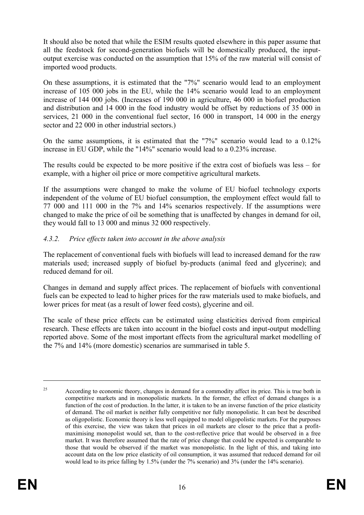It should also be noted that while the ESIM results quoted elsewhere in this paper assume that all the feedstock for second-generation biofuels will be domestically produced, the inputoutput exercise was conducted on the assumption that 15% of the raw material will consist of imported wood products.

On these assumptions, it is estimated that the "7%" scenario would lead to an employment increase of 105 000 jobs in the EU, while the 14% scenario would lead to an employment increase of 144 000 jobs. (Increases of 190 000 in agriculture, 46 000 in biofuel production and distribution and 14 000 in the food industry would be offset by reductions of 35 000 in services, 21 000 in the conventional fuel sector, 16 000 in transport, 14 000 in the energy sector and 22 000 in other industrial sectors.)

On the same assumptions, it is estimated that the "7%" scenario would lead to a 0.12% increase in EU GDP, while the "14%" scenario would lead to a 0.23% increase.

The results could be expected to be more positive if the extra cost of biofuels was less – for example, with a higher oil price or more competitive agricultural markets.

If the assumptions were changed to make the volume of EU biofuel technology exports independent of the volume of EU biofuel consumption, the employment effect would fall to 77 000 and 111 000 in the 7% and 14% scenarios respectively. If the assumptions were changed to make the price of oil be something that is unaffected by changes in demand for oil, they would fall to 13 000 and minus 32 000 respectively.

## *4.3.2. Price effects taken into account in the above analysis*

The replacement of conventional fuels with biofuels will lead to increased demand for the raw materials used; increased supply of biofuel by-products (animal feed and glycerine); and reduced demand for oil.

Changes in demand and supply affect prices. The replacement of biofuels with conventional fuels can be expected to lead to higher prices for the raw materials used to make biofuels, and lower prices for meat (as a result of lower feed costs), glycerine and oil.

The scale of these price effects can be estimated using elasticities derived from empirical research. These effects are taken into account in the biofuel costs and input-output modelling reported above. Some of the most important effects from the agricultural market modelling of the 7% and 14% (more domestic) scenarios are summarised in table 5.

<sup>&</sup>lt;sup>25</sup> According to economic theory, changes in demand for a commodity affect its price. This is true both in competitive markets and in monopolistic markets. In the former, the effect of demand changes is a function of the cost of production. In the latter, it is taken to be an inverse function of the price elasticity of demand. The oil market is neither fully competitive nor fully monopolistic. It can best be described as oligopolistic. Economic theory is less well equipped to model oligopolistic markets. For the purposes of this exercise, the view was taken that prices in oil markets are closer to the price that a profitmaximising monopolist would set, than to the cost-reflective price that would be observed in a free market. It was therefore assumed that the rate of price change that could be expected is comparable to those that would be observed if the market was monopolistic. In the light of this, and taking into account data on the low price elasticity of oil consumption, it was assumed that reduced demand for oil would lead to its price falling by 1.5% (under the 7% scenario) and 3% (under the 14% scenario).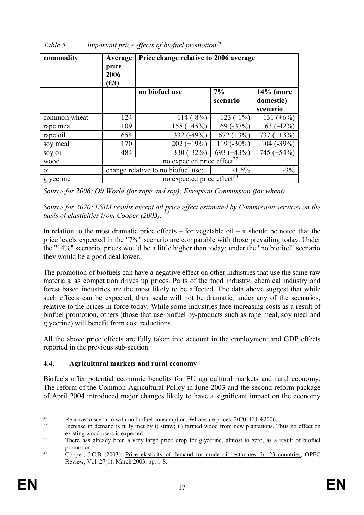| commodity    | Average<br>price<br>2006<br>$(\epsilon/t)$ | Price change relative to 2006 average                    |              |               |  |
|--------------|--------------------------------------------|----------------------------------------------------------|--------------|---------------|--|
|              |                                            | no biofuel use                                           | 7%           | $14\%$ (more  |  |
|              |                                            |                                                          | scenario     | domestic)     |  |
|              |                                            |                                                          |              | scenario      |  |
| common wheat | 124                                        | $114(-8%)$                                               | $123(-1%)$   | 131 $(+6%)$   |  |
| rape meal    | 109                                        | $158 (+45%)$                                             | $69(-37%)$   | $63(-42%)$    |  |
| rape oil     | 654                                        | $332(-49%)$                                              | $672 (+3%)$  | $737 (+13\%)$ |  |
| soy meal     | 170                                        | $202 (+19%)$                                             | $119(-30\%)$ | $104(-39%)$   |  |
| soy oil      | 484                                        | $330(-32\%)$                                             | 693 $(+43%)$ | 745 $(+54\%)$ |  |
| wood         | no expected price effect <sup>27</sup>     |                                                          |              |               |  |
| oil          |                                            | change relative to no biofuel use:<br>$-1.5\%$<br>$-3\%$ |              |               |  |
| glycerine    |                                            | no expected price effect <sup>28</sup>                   |              |               |  |

*Table 5 Important price effects of biofuel promotion<sup>26</sup>*

*Source for 2006: Oil World (for rape and soy); European Commission (for wheat)*

*Source for 2020: ESIM results except oil price effect estimated by Commission services on the basis of elasticities from Cooper (2003). 29*

In relation to the most dramatic price effects – for vegetable oil – it should be noted that the price levels expected in the "7%" scenario are comparable with those prevailing today. Under the "14%" scenario, prices would be a little higher than today; under the "no biofuel" scenario they would be a good deal lower.

The promotion of biofuels can have a negative effect on other industries that use the same raw materials, as competition drives up prices. Parts of the food industry, chemical industry and forest based industries are the most likely to be affected. The data above suggest that while such effects can be expected, their scale will not be dramatic, under any of the scenarios, relative to the prices in force today. While some industries face increasing costs as a result of biofuel promotion, others (those that use biofuel by-products such as rape meal, soy meal and glycerine) will benefit from cost reductions.

All the above price effects are fully taken into account in the employment and GDP effects reported in the previous sub-section.

## **4.4. Agricultural markets and rural economy**

Biofuels offer potential economic benefits for EU agricultural markets and rural economy. The reform of the Common Agricultural Policy in June 2003 and the second reform package of April 2004 introduced major changes likely to have a significant impact on the economy

<sup>26</sup> Relative to scenario with no biofuel consumption. Wholesale prices, 2020, EU,  $\epsilon$ 2006.

Increase in demand is fully met by i) straw; ii) farmed wood from new plantations. Thus no effect on existing wood users is expected.

<sup>&</sup>lt;sup>28</sup> There has already been a very large price drop for glycerine, almost to zero, as a result of biofuel promotion.

<sup>&</sup>lt;sup>29</sup> Cooper, J.C.B (2003): Price elasticity of demand for crude oil: estimates for 23 countries, OPEC Review, Vol. 27(1), March 2003, pp. 1-8.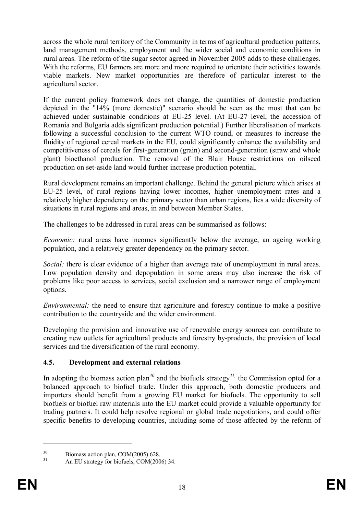across the whole rural territory of the Community in terms of agricultural production patterns, land management methods, employment and the wider social and economic conditions in rural areas. The reform of the sugar sector agreed in November 2005 adds to these challenges. With the reforms, EU farmers are more and more required to orientate their activities towards viable markets. New market opportunities are therefore of particular interest to the agricultural sector.

If the current policy framework does not change, the quantities of domestic production depicted in the "14% (more domestic)" scenario should be seen as the most that can be achieved under sustainable conditions at EU-25 level. (At EU-27 level, the accession of Romania and Bulgaria adds significant production potential.) Further liberalisation of markets following a successful conclusion to the current WTO round, or measures to increase the fluidity of regional cereal markets in the EU, could significantly enhance the availability and competitiveness of cereals for first-generation (grain) and second-generation (straw and whole plant) bioethanol production. The removal of the Blair House restrictions on oilseed production on set-aside land would further increase production potential.

Rural development remains an important challenge. Behind the general picture which arises at EU-25 level, of rural regions having lower incomes, higher unemployment rates and a relatively higher dependency on the primary sector than urban regions, lies a wide diversity of situations in rural regions and areas, in and between Member States.

The challenges to be addressed in rural areas can be summarised as follows:

*Economic:* rural areas have incomes significantly below the average, an ageing working population, and a relatively greater dependency on the primary sector.

*Social:* there is clear evidence of a higher than average rate of unemployment in rural areas. Low population density and depopulation in some areas may also increase the risk of problems like poor access to services, social exclusion and a narrower range of employment options.

*Environmental:* the need to ensure that agriculture and forestry continue to make a positive contribution to the countryside and the wider environment.

Developing the provision and innovative use of renewable energy sources can contribute to creating new outlets for agricultural products and forestry by-products, the provision of local services and the diversification of the rural economy.

## **4.5. Development and external relations**

In adopting the biomass action plan<sup>30</sup> and the biofuels strategy<sup>31,</sup> the Commission opted for a balanced approach to biofuel trade. Under this approach, both domestic producers and importers should benefit from a growing EU market for biofuels. The opportunity to sell biofuels or biofuel raw materials into the EU market could provide a valuable opportunity for trading partners. It could help resolve regional or global trade negotiations, and could offer specific benefits to developing countries, including some of those affected by the reform of

 $\frac{30}{31}$  Biomass action plan, COM(2005) 628.

An EU strategy for biofuels, COM(2006) 34.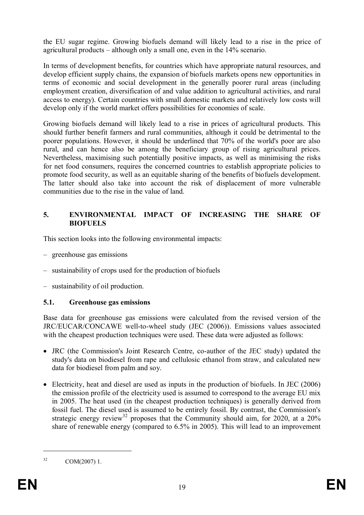the EU sugar regime. Growing biofuels demand will likely lead to a rise in the price of agricultural products – although only a small one, even in the 14% scenario.

In terms of development benefits, for countries which have appropriate natural resources, and develop efficient supply chains, the expansion of biofuels markets opens new opportunities in terms of economic and social development in the generally poorer rural areas (including employment creation, diversification of and value addition to agricultural activities, and rural access to energy). Certain countries with small domestic markets and relatively low costs will develop only if the world market offers possibilities for economies of scale.

Growing biofuels demand will likely lead to a rise in prices of agricultural products. This should further benefit farmers and rural communities, although it could be detrimental to the poorer populations. However, it should be underlined that 70% of the world's poor are also rural, and can hence also be among the beneficiary group of rising agricultural prices. Nevertheless, maximising such potentially positive impacts, as well as minimising the risks for net food consumers, requires the concerned countries to establish appropriate policies to promote food security, as well as an equitable sharing of the benefits of biofuels development. The latter should also take into account the risk of displacement of more vulnerable communities due to the rise in the value of land.

# **5. ENVIRONMENTAL IMPACT OF INCREASING THE SHARE OF BIOFUELS**

This section looks into the following environmental impacts:

- greenhouse gas emissions
- sustainability of crops used for the production of biofuels
- sustainability of oil production.

# **5.1. Greenhouse gas emissions**

Base data for greenhouse gas emissions were calculated from the revised version of the JRC/EUCAR/CONCAWE well-to-wheel study (JEC (2006)). Emissions values associated with the cheapest production techniques were used. These data were adjusted as follows:

- JRC (the Commission's Joint Research Centre, co-author of the JEC study) updated the study's data on biodiesel from rape and cellulosic ethanol from straw, and calculated new data for biodiesel from palm and soy.
- · Electricity, heat and diesel are used as inputs in the production of biofuels. In JEC (2006) the emission profile of the electricity used is assumed to correspond to the average EU mix in 2005. The heat used (in the cheapest production techniques) is generally derived from fossil fuel. The diesel used is assumed to be entirely fossil. By contrast, the Commission's strategic energy review<sup>32</sup> proposes that the Community should aim, for 2020, at a  $20\%$ share of renewable energy (compared to 6.5% in 2005). This will lead to an improvement

 $32$  COM(2007) 1.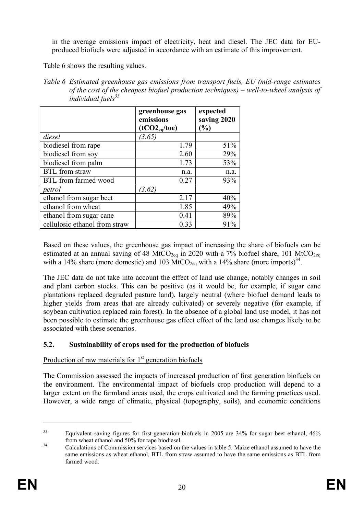in the average emissions impact of electricity, heat and diesel. The JEC data for EUproduced biofuels were adjusted in accordance with an estimate of this improvement.

Table 6 shows the resulting values.

*Table 6 Estimated greenhouse gas emissions from transport fuels, EU (mid-range estimates of the cost of the cheapest biofuel production techniques) – well-to-wheel analysis of individual fuels<sup>33</sup>*

|                               | greenhouse gas<br>emissions<br>$(tCO2_{eq}/toe)$ | expected<br>saving 2020<br>$(\%)$ |
|-------------------------------|--------------------------------------------------|-----------------------------------|
| diesel                        | (3.65)                                           |                                   |
| biodiesel from rape           | 1.79                                             | 51%                               |
| biodiesel from soy            | 2.60                                             | 29%                               |
| biodiesel from palm           | 1.73                                             | 53%                               |
| <b>BTL</b> from straw         | n.a.                                             | n.a.                              |
| BTL from farmed wood          | 0.27                                             | 93%                               |
| petrol                        | (3.62)                                           |                                   |
| ethanol from sugar beet       | 2.17                                             | 40%                               |
| ethanol from wheat            | 1.85                                             | 49%                               |
| ethanol from sugar cane       | 0.41                                             | 89%                               |
| cellulosic ethanol from straw | 0.33                                             | 91%                               |

Based on these values, the greenhouse gas impact of increasing the share of biofuels can be estimated at an annual saving of 48 MtCO<sub>2eq</sub> in 2020 with a 7% biofuel share, 101 MtCO<sub>2eq</sub> with a 14% share (more domestic) and 103 MtCO<sub>2eq</sub> with a 14% share (more imports)<sup>34</sup>.

The JEC data do not take into account the effect of land use change, notably changes in soil and plant carbon stocks. This can be positive (as it would be, for example, if sugar cane plantations replaced degraded pasture land), largely neutral (where biofuel demand leads to higher yields from areas that are already cultivated) or severely negative (for example, if soybean cultivation replaced rain forest). In the absence of a global land use model, it has not been possible to estimate the greenhouse gas effect effect of the land use changes likely to be associated with these scenarios.

# **5.2. Sustainability of crops used for the production of biofuels**

## Production of raw materials for  $1<sup>st</sup>$  generation biofuels

The Commission assessed the impacts of increased production of first generation biofuels on the environment. The environmental impact of biofuels crop production will depend to a larger extent on the farmland areas used, the crops cultivated and the farming practices used. However, a wide range of climatic, physical (topography, soils), and economic conditions

<sup>&</sup>lt;sup>33</sup> Equivalent saving figures for first-generation biofuels in 2005 are 34% for sugar beet ethanol, 46% from wheat ethanol and 50% for rape biodiesel.

<sup>&</sup>lt;sup>34</sup> Calculations of Commission services based on the values in table 5. Maize ethanol assumed to have the same emissions as wheat ethanol. BTL from straw assumed to have the same emissions as BTL from farmed wood.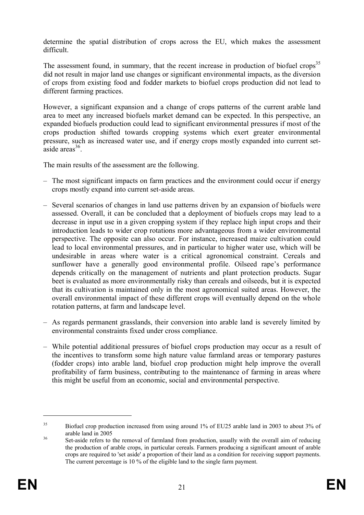determine the spatial distribution of crops across the EU, which makes the assessment difficult.

The assessment found, in summary, that the recent increase in production of biofuel crops<sup>35</sup> did not result in major land use changes or significant environmental impacts, as the diversion of crops from existing food and fodder markets to biofuel crops production did not lead to different farming practices.

However, a significant expansion and a change of crops patterns of the current arable land area to meet any increased biofuels market demand can be expected. In this perspective, an expanded biofuels production could lead to significant environmental pressures if most of the crops production shifted towards cropping systems which exert greater environmental pressure, such as increased water use, and if energy crops mostly expanded into current set $a$ side areas<sup>36</sup>.

The main results of the assessment are the following.

- The most significant impacts on farm practices and the environment could occur if energy crops mostly expand into current set-aside areas.
- Several scenarios of changes in land use patterns driven by an expansion of biofuels were assessed. Overall, it can be concluded that a deployment of biofuels crops may lead to a decrease in input use in a given cropping system if they replace high input crops and their introduction leads to wider crop rotations more advantageous from a wider environmental perspective. The opposite can also occur. For instance, increased maize cultivation could lead to local environmental pressures, and in particular to higher water use, which will be undesirable in areas where water is a critical agronomical constraint. Cereals and sunflower have a generally good environmental profile. Oilseed rape's performance depends critically on the management of nutrients and plant protection products. Sugar beet is evaluated as more environmentally risky than cereals and oilseeds, but it is expected that its cultivation is maintained only in the most agronomical suited areas. However, the overall environmental impact of these different crops will eventually depend on the whole rotation patterns, at farm and landscape level.
- As regards permanent grasslands, their conversion into arable land is severely limited by environmental constraints fixed under cross compliance.
- While potential additional pressures of biofuel crops production may occur as a result of the incentives to transform some high nature value farmland areas or temporary pastures (fodder crops) into arable land, biofuel crop production might help improve the overall profitability of farm business, contributing to the maintenance of farming in areas where this might be useful from an economic, social and environmental perspective.

<sup>&</sup>lt;sup>35</sup> Biofuel crop production increased from using around 1% of EU25 arable land in 2003 to about 3% of arable land in 2005

<sup>&</sup>lt;sup>36</sup> Set-aside refers to the removal of farmland from production, usually with the overall aim of reducing the production of arable crops, in particular cereals. Farmers producing a significant amount of arable crops are required to 'set aside' a proportion of their land as a condition for receiving support payments. The current percentage is 10 % of the eligible land to the single farm payment.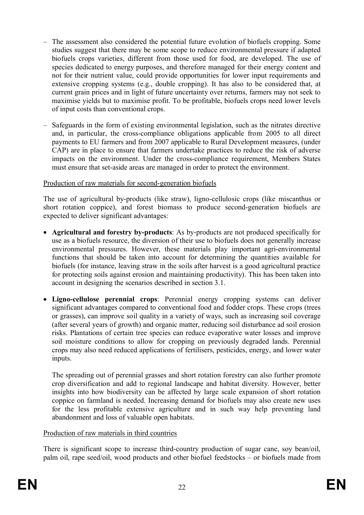- The assessment also considered the potential future evolution of biofuels cropping. Some studies suggest that there may be some scope to reduce environmental pressure if adapted biofuels crops varieties, different from those used for food, are developed. The use of species dedicated to energy purposes, and therefore managed for their energy content and not for their nutrient value, could provide opportunities for lower input requirements and extensive cropping systems (e.g., double cropping). It has also to be considered that, at current grain prices and in light of future uncertainty over returns, farmers may not seek to maximise yields but to maximise profit. To be profitable, biofuels crops need lower levels of input costs than conventional crops.
- Safeguards in the form of existing environmental legislation, such as the nitrates directive and, in particular, the cross-compliance obligations applicable from 2005 to all direct payments to EU farmers and from 2007 applicable to Rural Development measures, (under CAP) are in place to ensure that farmers undertake practices to reduce the risk of adverse impacts on the environment. Under the cross-compliance requirement, Members States must ensure that set-aside areas are managed in order to protect the environment.

#### Production of raw materials for second-generation biofuels

The use of agricultural by-products (like straw), ligno-cellulosic crops (like miscanthus or short rotation coppice), and forest biomass to produce second-generation biofuels are expected to deliver significant advantages:

- · **Agricultural and forestry by-products**: As by-products are not produced specifically for use as a biofuels resource, the diversion of their use to biofuels does not generally increase environmental pressures. However, these materials play important agri-environmental functions that should be taken into account for determining the quantities available for biofuels (for instance, leaving straw in the soils after harvest is a good agricultural practice for protecting soils against erosion and maintaining productivity). This has been taken into account in designing the scenarios described in section 3.1.
- · **Ligno-cellulose perennial crops**: Perennial energy cropping systems can deliver significant advantages compared to conventional food and fodder crops. These crops (trees or grasses), can improve soil quality in a variety of ways, such as increasing soil coverage (after several years of growth) and organic matter, reducing soil disturbance ad soil erosion risks. Plantations of certain tree species can reduce evaporative water losses and improve soil moisture conditions to allow for cropping on previously degraded lands. Perennial crops may also need reduced applications of fertilisers, pesticides, energy, and lower water inputs.

The spreading out of perennial grasses and short rotation forestry can also further promote crop diversification and add to regional landscape and habitat diversity. However, better insights into how biodiversity can be affected by large scale expansion of short rotation coppice on farmland is needed. Increasing demand for biofuels may also create new uses for the less profitable extensive agriculture and in such way help preventing land abandonment and loss of valuable open habitats.

#### Production of raw materials in third countries

There is significant scope to increase third-country production of sugar cane, soy bean/oil, palm oil, rape seed/oil, wood products and other biofuel feedstocks – or biofuels made from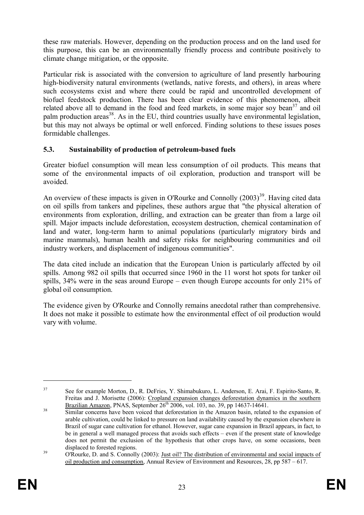these raw materials. However, depending on the production process and on the land used for this purpose, this can be an environmentally friendly process and contribute positively to climate change mitigation, or the opposite.

Particular risk is associated with the conversion to agriculture of land presently harbouring high-biodiversity natural environments (wetlands, native forests, and others), in areas where such ecosystems exist and where there could be rapid and uncontrolled development of biofuel feedstock production. There has been clear evidence of this phenomenon, albeit related above all to demand in the food and feed markets, in some major soy bean<sup>37</sup> and oil palm production areas<sup>38</sup>. As in the EU, third countries usually have environmental legislation, but this may not always be optimal or well enforced. Finding solutions to these issues poses formidable challenges.

# **5.3. Sustainability of production of petroleum-based fuels**

Greater biofuel consumption will mean less consumption of oil products. This means that some of the environmental impacts of oil exploration, production and transport will be avoided.

An overview of these impacts is given in O'Rourke and Connolly  $(2003)^{39}$ . Having cited data on oil spills from tankers and pipelines, these authors argue that "the physical alteration of environments from exploration, drilling, and extraction can be greater than from a large oil spill. Major impacts include deforestation, ecosystem destruction, chemical contamination of land and water, long-term harm to animal populations (particularly migratory birds and marine mammals), human health and safety risks for neighbouring communities and oil industry workers, and displacement of indigenous communities".

The data cited include an indication that the European Union is particularly affected by oil spills. Among 982 oil spills that occurred since 1960 in the 11 worst hot spots for tanker oil spills, 34% were in the seas around Europe – even though Europe accounts for only 21% of global oil consumption.

The evidence given by O'Rourke and Connolly remains anecdotal rather than comprehensive. It does not make it possible to estimate how the environmental effect of oil production would vary with volume.

<sup>37</sup> See for example Morton, D., R. DeFries, Y. Shimabukuro, L. Anderson, E. Arai, F. Espirito-Santo, R. Freitas and J. Morisette (2006): Cropland expansion changes deforestation dynamics in the southern Brazilian Amazon, PNAS, September 26<sup>th</sup> 2006, vol. 103, no. 39, pp 14637-14641.

<sup>&</sup>lt;sup>38</sup> Similar concerns have been voiced that deforestation in the Amazon basin, related to the expansion of arable cultivation, could be linked to pressure on land availability caused by the expansion elsewhere in Brazil of sugar cane cultivation for ethanol. However, sugar cane expansion in Brazil appears, in fact, to be in general a well managed process that avoids such effects – even if the present state of knowledge does not permit the exclusion of the hypothesis that other crops have, on some occasions, been displaced to forested regions.

<sup>&</sup>lt;sup>39</sup> O'Rourke, D. and S. Connolly (2003): Just oil? The distribution of environmental and social impacts of oil production and consumption, Annual Review of Environment and Resources, 28, pp 587 – 617.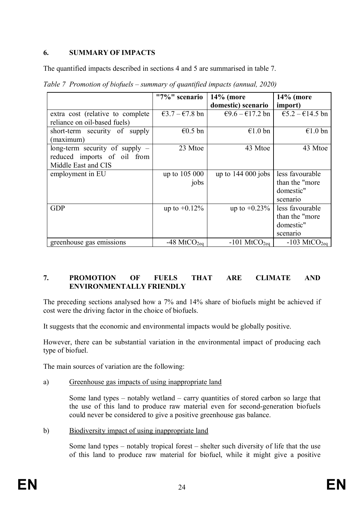# **6. SUMMARY OF IMPACTS**

The quantified impacts described in sections 4 and 5 are summarised in table 7.

|                                  | "7%" scenario                                          | $14\%$ (more               | $14\%$ (more               |
|----------------------------------|--------------------------------------------------------|----------------------------|----------------------------|
|                                  |                                                        | domestic) scenario         | import)                    |
| extra cost (relative to complete | $\text{\textsterling}3.7 - \text{\textsterling}7.8$ bn | €9.6 $-$ €17.2 bn          | €5.2 – €14.5 bn            |
| reliance on oil-based fuels)     |                                                        |                            |                            |
| short-term security of supply    | $\epsilon$ 0.5 bn                                      | $€1.0$ bn                  | $€1.0$ bn                  |
| (maximum)                        |                                                        |                            |                            |
| long-term security of supply $-$ | 23 Mtoe                                                | 43 Mtoe                    | 43 Mtoe                    |
| reduced imports of oil from      |                                                        |                            |                            |
| Middle East and CIS              |                                                        |                            |                            |
| employment in EU                 | up to 105 000                                          | up to $144\,000$ jobs      | less favourable            |
|                                  | jobs                                                   |                            | than the "more"            |
|                                  |                                                        |                            | domestic"                  |
|                                  |                                                        |                            | scenario                   |
| <b>GDP</b>                       | up to $+0.12\%$                                        | up to $+0.23\%$            | less favourable            |
|                                  |                                                        |                            | than the "more"            |
|                                  |                                                        |                            | domestic"                  |
|                                  |                                                        |                            | scenario                   |
| greenhouse gas emissions         | -48 $MtCO2eq$                                          | $-101$ MtCO <sub>2eq</sub> | $-103$ MtCO <sub>2eq</sub> |

*Table 7 Promotion of biofuels – summary of quantified impacts (annual, 2020)*

# **7. PROMOTION OF FUELS THAT ARE CLIMATE AND ENVIRONMENTALLY FRIENDLY**

The preceding sections analysed how a 7% and 14% share of biofuels might be achieved if cost were the driving factor in the choice of biofuels.

It suggests that the economic and environmental impacts would be globally positive.

However, there can be substantial variation in the environmental impact of producing each type of biofuel.

The main sources of variation are the following:

## a) Greenhouse gas impacts of using inappropriate land

Some land types – notably wetland – carry quantities of stored carbon so large that the use of this land to produce raw material even for second-generation biofuels could never be considered to give a positive greenhouse gas balance.

b) Biodiversity impact of using inappropriate land

Some land types – notably tropical forest – shelter such diversity of life that the use of this land to produce raw material for biofuel, while it might give a positive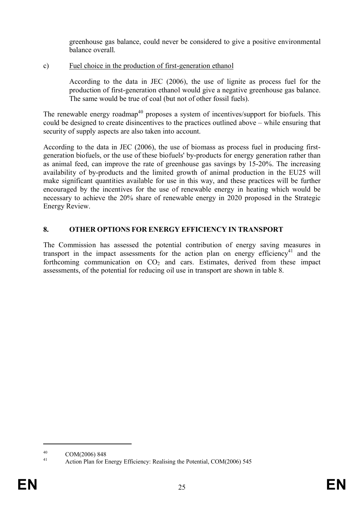greenhouse gas balance, could never be considered to give a positive environmental balance overall.

# c) Fuel choice in the production of first-generation ethanol

According to the data in JEC (2006), the use of lignite as process fuel for the production of first-generation ethanol would give a negative greenhouse gas balance. The same would be true of coal (but not of other fossil fuels).

The renewable energy roadmap<sup>40</sup> proposes a system of incentives/support for biofuels. This could be designed to create disincentives to the practices outlined above – while ensuring that security of supply aspects are also taken into account.

According to the data in JEC (2006), the use of biomass as process fuel in producing firstgeneration biofuels, or the use of these biofuels' by-products for energy generation rather than as animal feed, can improve the rate of greenhouse gas savings by 15-20%. The increasing availability of by-products and the limited growth of animal production in the EU25 will make significant quantities available for use in this way, and these practices will be further encouraged by the incentives for the use of renewable energy in heating which would be necessary to achieve the 20% share of renewable energy in 2020 proposed in the Strategic Energy Review.

# **8. OTHER OPTIONS FOR ENERGY EFFICIENCY IN TRANSPORT**

The Commission has assessed the potential contribution of energy saving measures in transport in the impact assessments for the action plan on energy efficiency<sup>41</sup> and the forthcoming communication on  $CO<sub>2</sub>$  and cars. Estimates, derived from these impact assessments, of the potential for reducing oil use in transport are shown in table 8.

<sup>40</sup> COM(2006) 848

Action Plan for Energy Efficiency: Realising the Potential, COM(2006) 545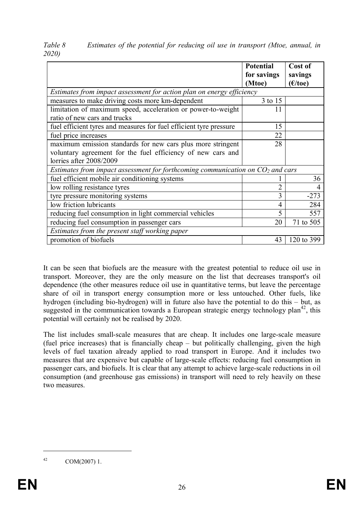*Table 8 Estimates of the potential for reducing oil use in transport (Mtoe, annual, in 2020)*

|                                                                                  | <b>Potential</b><br>for savings<br>(Mtoe) | Cost of<br>savings<br>(E/toe) |
|----------------------------------------------------------------------------------|-------------------------------------------|-------------------------------|
| Estimates from impact assessment for action plan on energy efficiency            |                                           |                               |
| measures to make driving costs more km-dependent                                 | 3 to 15                                   |                               |
| limitation of maximum speed, acceleration or power-to-weight                     | 11                                        |                               |
| ratio of new cars and trucks                                                     |                                           |                               |
| fuel efficient tyres and measures for fuel efficient tyre pressure               | 15                                        |                               |
| fuel price increases                                                             | 22                                        |                               |
| maximum emission standards for new cars plus more stringent                      | 28                                        |                               |
| voluntary agreement for the fuel efficiency of new cars and                      |                                           |                               |
| lorries after 2008/2009                                                          |                                           |                               |
| Estimates from impact assessment for forthcoming communication on $CO2$ and cars |                                           |                               |
| fuel efficient mobile air conditioning systems                                   |                                           | 36                            |
| low rolling resistance tyres                                                     | 2                                         | 4                             |
| tyre pressure monitoring systems                                                 | 3                                         | $-273$                        |
| low friction lubricants                                                          | 4                                         | 284                           |
| reducing fuel consumption in light commercial vehicles                           | 5                                         | 557                           |
| reducing fuel consumption in passenger cars                                      | 20                                        | 71 to 505                     |
| Estimates from the present staff working paper                                   |                                           |                               |
| promotion of biofuels                                                            | 43                                        | 120 to 399                    |

It can be seen that biofuels are the measure with the greatest potential to reduce oil use in transport. Moreover, they are the only measure on the list that decreases transport's oil dependence (the other measures reduce oil use in quantitative terms, but leave the percentage share of oil in transport energy consumption more or less untouched. Other fuels, like hydrogen (including bio-hydrogen) will in future also have the potential to do this – but, as suggested in the communication towards a European strategic energy technology plan<sup>42</sup>, this potential will certainly not be realised by 2020.

The list includes small-scale measures that are cheap. It includes one large-scale measure (fuel price increases) that is financially cheap – but politically challenging, given the high levels of fuel taxation already applied to road transport in Europe. And it includes two measures that are expensive but capable of large-scale effects: reducing fuel consumption in passenger cars, and biofuels. It is clear that any attempt to achieve large-scale reductions in oil consumption (and greenhouse gas emissions) in transport will need to rely heavily on these two measures.

 $^{42}$  COM(2007) 1.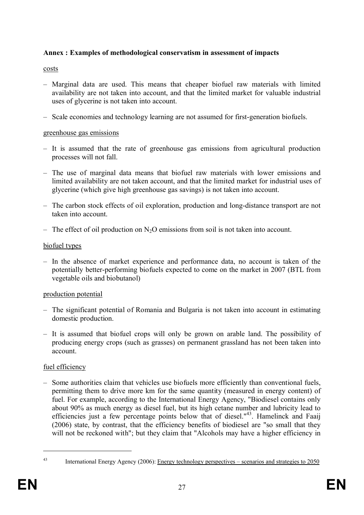# **Annex : Examples of methodological conservatism in assessment of impacts**

#### costs

- Marginal data are used. This means that cheaper biofuel raw materials with limited availability are not taken into account, and that the limited market for valuable industrial uses of glycerine is not taken into account.
- Scale economies and technology learning are not assumed for first-generation biofuels.

## greenhouse gas emissions

- It is assumed that the rate of greenhouse gas emissions from agricultural production processes will not fall.
- The use of marginal data means that biofuel raw materials with lower emissions and limited availability are not taken account, and that the limited market for industrial uses of glycerine (which give high greenhouse gas savings) is not taken into account.
- The carbon stock effects of oil exploration, production and long-distance transport are not taken into account.
- The effect of oil production on  $N_2O$  emissions from soil is not taken into account.

# biofuel types

– In the absence of market experience and performance data, no account is taken of the potentially better-performing biofuels expected to come on the market in 2007 (BTL from vegetable oils and biobutanol)

## production potential

- The significant potential of Romania and Bulgaria is not taken into account in estimating domestic production.
- It is assumed that biofuel crops will only be grown on arable land. The possibility of producing energy crops (such as grasses) on permanent grassland has not been taken into account.

## fuel efficiency

– Some authorities claim that vehicles use biofuels more efficiently than conventional fuels, permitting them to drive more km for the same quantity (measured in energy content) of fuel. For example, according to the International Energy Agency, "Biodiesel contains only about 90% as much energy as diesel fuel, but its high cetane number and lubricity lead to efficiencies just a few percentage points below that of diesel."<sup>43</sup>. Hamelinck and Faaij (2006) state, by contrast, that the efficiency benefits of biodiesel are "so small that they will not be reckoned with"; but they claim that "Alcohols may have a higher efficiency in

<sup>&</sup>lt;sup>43</sup> International Energy Agency (2006): Energy technology perspectives – scenarios and strategies to 2050